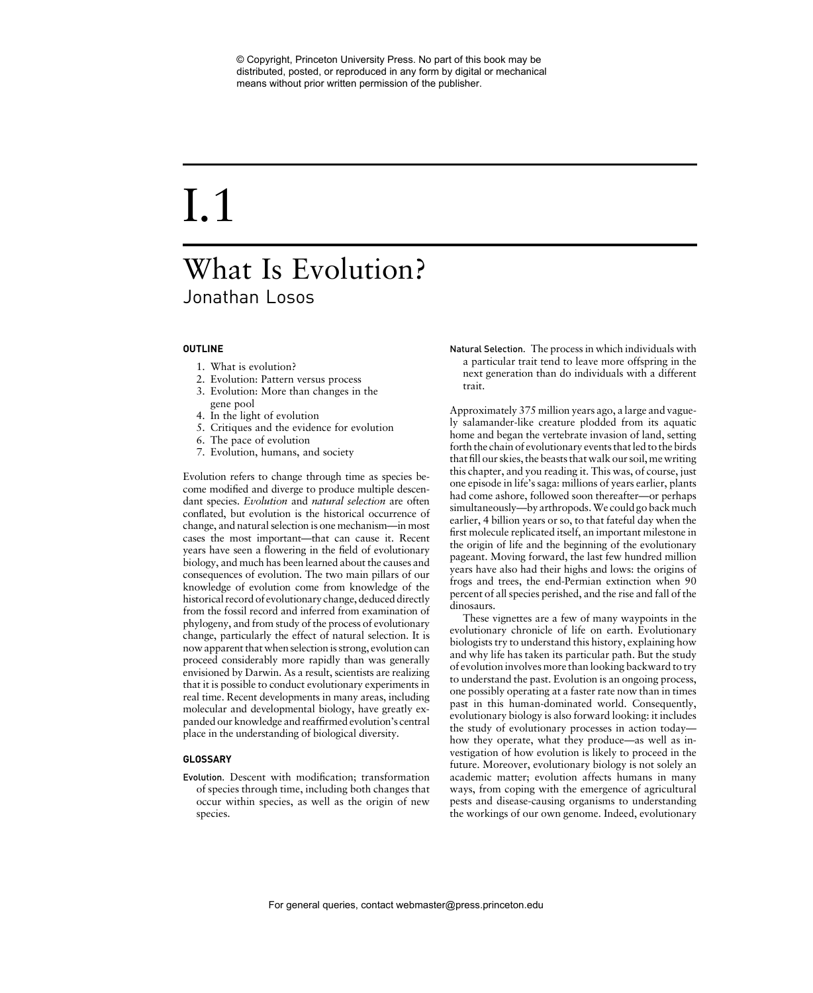# I.1

# What Is Evolution? Jonathan Losos

### **OUTLINE**

- 1. What is evolution?
- 2. Evolution: Pattern versus process
- 3. Evolution: More than changes in the gene pool
- 4. In the light of evolution
- 5. Critiques and the evidence for evolution
- 6. The pace of evolution
- 7. Evolution, humans, and society

Evolution refers to change through time as species become modified and diverge to produce multiple descendant species. Evolution and natural selection are often conflated, but evolution is the historical occurrence of change, and natural selection is one mechanism—in most cases the most important—that can cause it. Recent years have seen a flowering in the field of evolutionary biology, and much has been learned about the causes and consequences of evolution. The two main pillars of our knowledge of evolution come from knowledge of the historical record of evolutionary change, deduced directly from the fossil record and inferred from examination of phylogeny, and from study of the process of evolutionary change, particularly the effect of natural selection. It is now apparent that when selection is strong, evolution can proceed considerably more rapidly than was generally envisioned by Darwin. As a result, scientists are realizing that it is possible to conduct evolutionary experiments in real time. Recent developments in many areas, including molecular and developmental biology, have greatly expanded our knowledge and reaffirmed evolution's central place in the understanding of biological diversity.

# **GLOSSARY**

Evolution. Descent with modification; transformation of species through time, including both changes that occur within species, as well as the origin of new species.

Natural Selection. The process in which individuals with a particular trait tend to leave more offspring in the next generation than do individuals with a different trait.

Approximately 375 million years ago, a large and vaguely salamander-like creature plodded from its aquatic home and began the vertebrate invasion of land, setting forth the chain of evolutionary events that led to the birds that fill our skies, the beasts that walk our soil, me writing this chapter, and you reading it. This was, of course, just one episode in life's saga: millions of years earlier, plants had come ashore, followed soon thereafter—or perhaps simultaneously—by arthropods. We could go back much earlier, 4 billion years or so, to that fateful day when the first molecule replicated itself, an important milestone in the origin of life and the beginning of the evolutionary pageant. Moving forward, the last few hundred million years have also had their highs and lows: the origins of frogs and trees, the end-Permian extinction when 90 percent of all species perished, and the rise and fall of the dinosaurs.

These vignettes are a few of many waypoints in the evolutionary chronicle of life on earth. Evolutionary biologists try to understand this history, explaining how and why life has taken its particular path. But the study of evolution involves more than looking backward to try to understand the past. Evolution is an ongoing process, one possibly operating at a faster rate now than in times past in this human-dominated world. Consequently, evolutionary biology is also forward looking: it includes the study of evolutionary processes in action today how they operate, what they produce—as well as investigation of how evolution is likely to proceed in the future. Moreover, evolutionary biology is not solely an academic matter; evolution affects humans in many ways, from coping with the emergence of agricultural pests and disease-causing organisms to understanding the workings of our own genome. Indeed, evolutionary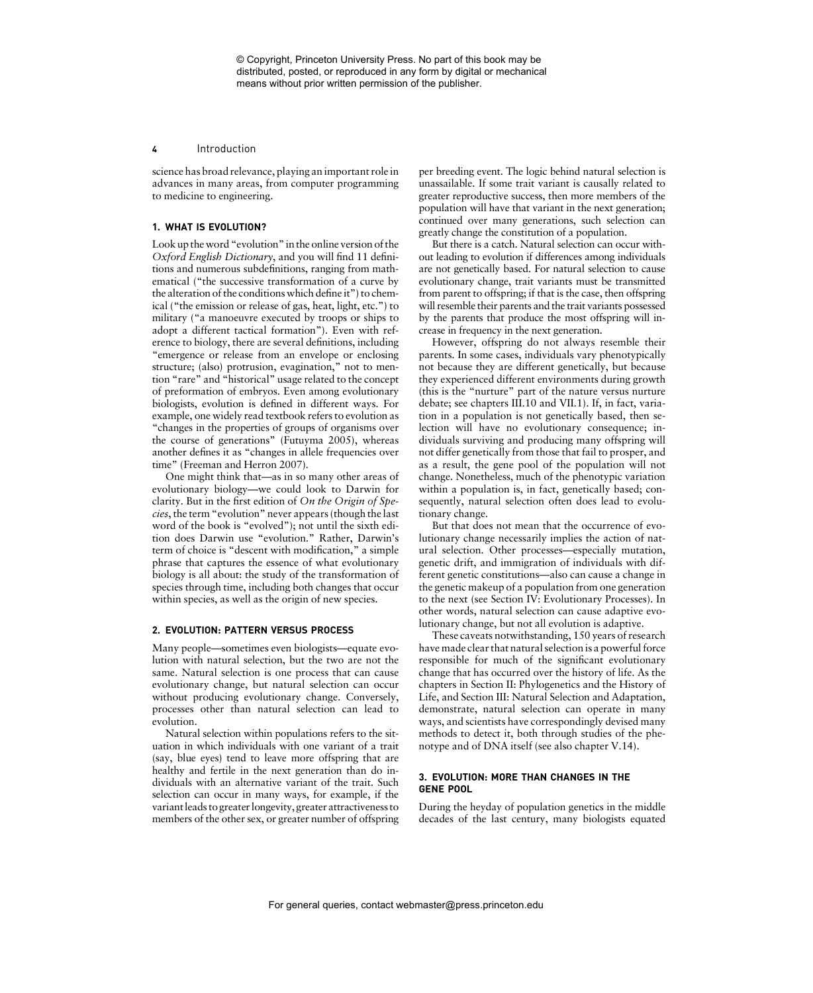#### <sup>4</sup> Introduction

science has broad relevance, playing an important role in advances in many areas, from computer programming to medicine to engineering.

#### 1. WHAT IS EVOLUTION?

Look up the word "evolution" in the online version of the Oxford English Dictionary, and you will find 11 definitions and numerous subdefinitions, ranging from mathematical ("the successive transformation of a curve by the alteration of the conditions which define it") to chemical ("the emission or release of gas, heat, light, etc.") to military ("a manoeuvre executed by troops or ships to adopt a different tactical formation"). Even with reference to biology, there are several definitions, including "emergence or release from an envelope or enclosing structure; (also) protrusion, evagination," not to mention "rare" and "historical" usage related to the concept of preformation of embryos. Even among evolutionary biologists, evolution is defined in different ways. For example, one widely read textbook refers to evolution as "changes in the properties of groups of organisms over the course of generations" (Futuyma 2005), whereas another defines it as "changes in allele frequencies over time" (Freeman and Herron 2007).

One might think that—as in so many other areas of evolutionary biology—we could look to Darwin for clarity. But in the first edition of On the Origin of Species, the term "evolution" never appears (though the last word of the book is "evolved"); not until the sixth edition does Darwin use "evolution." Rather, Darwin's term of choice is "descent with modification," a simple phrase that captures the essence of what evolutionary biology is all about: the study of the transformation of species through time, including both changes that occur within species, as well as the origin of new species.

#### 2. EVOLUTION: PATTERN VERSUS PROCESS

Many people—sometimes even biologists—equate evolution with natural selection, but the two are not the same. Natural selection is one process that can cause evolutionary change, but natural selection can occur without producing evolutionary change. Conversely, processes other than natural selection can lead to evolution.

Natural selection within populations refers to the situation in which individuals with one variant of a trait (say, blue eyes) tend to leave more offspring that are healthy and fertile in the next generation than do individuals with an alternative variant of the trait. Such selection can occur in many ways, for example, if the variant leads to greater longevity, greater attractiveness to members of the other sex, or greater number of offspring

per breeding event. The logic behind natural selection is unassailable. If some trait variant is causally related to greater reproductive success, then more members of the population will have that variant in the next generation; continued over many generations, such selection can greatly change the constitution of a population.

But there is a catch. Natural selection can occur without leading to evolution if differences among individuals are not genetically based. For natural selection to cause evolutionary change, trait variants must be transmitted from parent to offspring; if that is the case, then offspring will resemble their parents and the trait variants possessed by the parents that produce the most offspring will increase in frequency in the next generation.

However, offspring do not always resemble their parents. In some cases, individuals vary phenotypically not because they are different genetically, but because they experienced different environments during growth (this is the "nurture" part of the nature versus nurture debate; see chapters III.10 and VII.1). If, in fact, variation in a population is not genetically based, then selection will have no evolutionary consequence; individuals surviving and producing many offspring will not differ genetically from those that fail to prosper, and as a result, the gene pool of the population will not change. Nonetheless, much of the phenotypic variation within a population is, in fact, genetically based; consequently, natural selection often does lead to evolutionary change.

But that does not mean that the occurrence of evolutionary change necessarily implies the action of natural selection. Other processes—especially mutation, genetic drift, and immigration of individuals with different genetic constitutions—also can cause a change in the genetic makeup of a population from one generation to the next (see Section IV: Evolutionary Processes). In other words, natural selection can cause adaptive evolutionary change, but not all evolution is adaptive.

These caveats notwithstanding, 150 years of research have made clear that natural selection is a powerful force responsible for much of the significant evolutionary change that has occurred over the history of life. As the chapters in Section II: Phylogenetics and the History of Life, and Section III: Natural Selection and Adaptation, demonstrate, natural selection can operate in many ways, and scientists have correspondingly devised many methods to detect it, both through studies of the phenotype and of DNA itself (see also chapter V.14).

# 3. EVOLUTION: MORE THAN CHANGES IN THE GENE POOL

During the heyday of population genetics in the middle decades of the last century, many biologists equated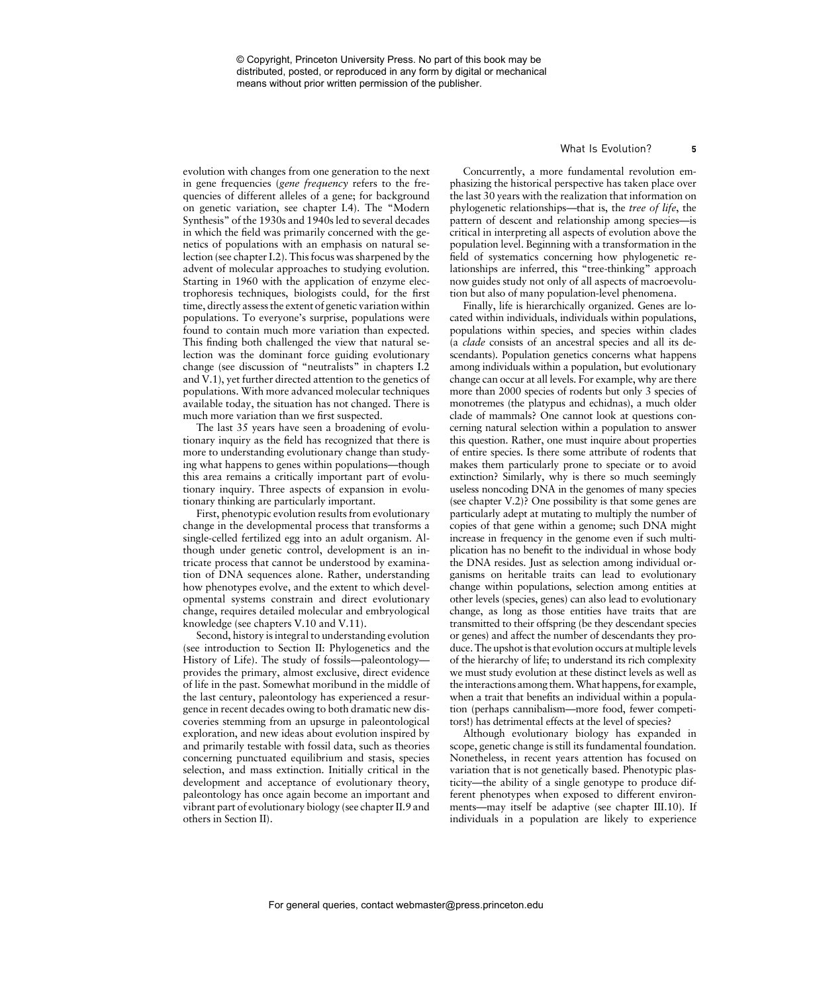evolution with changes from one generation to the next in gene frequencies (gene frequency refers to the frequencies of different alleles of a gene; for background on genetic variation, see chapter I.4). The "Modern Synthesis" of the 1930s and 1940s led to several decades in which the field was primarily concerned with the genetics of populations with an emphasis on natural selection (see chapter I.2). This focus was sharpened by the advent of molecular approaches to studying evolution. Starting in 1960 with the application of enzyme electrophoresis techniques, biologists could, for the first time, directly assess the extent of genetic variation within populations. To everyone's surprise, populations were found to contain much more variation than expected. This finding both challenged the view that natural selection was the dominant force guiding evolutionary change (see discussion of "neutralists" in chapters I.2 and V.1), yet further directed attention to the genetics of populations. With more advanced molecular techniques available today, the situation has not changed. There is much more variation than we first suspected.

The last 35 years have seen a broadening of evolutionary inquiry as the field has recognized that there is more to understanding evolutionary change than studying what happens to genes within populations—though this area remains a critically important part of evolutionary inquiry. Three aspects of expansion in evolutionary thinking are particularly important.

First, phenotypic evolution results from evolutionary change in the developmental process that transforms a single-celled fertilized egg into an adult organism. Although under genetic control, development is an intricate process that cannot be understood by examination of DNA sequences alone. Rather, understanding how phenotypes evolve, and the extent to which developmental systems constrain and direct evolutionary change, requires detailed molecular and embryological knowledge (see chapters V.10 and V.11).

Second, history is integral to understanding evolution (see introduction to Section II: Phylogenetics and the History of Life). The study of fossils—paleontology provides the primary, almost exclusive, direct evidence of life in the past. Somewhat moribund in the middle of the last century, paleontology has experienced a resurgence in recent decades owing to both dramatic new discoveries stemming from an upsurge in paleontological exploration, and new ideas about evolution inspired by and primarily testable with fossil data, such as theories concerning punctuated equilibrium and stasis, species selection, and mass extinction. Initially critical in the development and acceptance of evolutionary theory, paleontology has once again become an important and vibrant part of evolutionary biology (see chapter II.9 and others in Section II).

#### What Is Evolution? 5

Concurrently, a more fundamental revolution emphasizing the historical perspective has taken place over the last 30 years with the realization that information on phylogenetic relationships—that is, the tree of life, the pattern of descent and relationship among species—is critical in interpreting all aspects of evolution above the population level. Beginning with a transformation in the field of systematics concerning how phylogenetic relationships are inferred, this "tree-thinking" approach now guides study not only of all aspects of macroevolution but also of many population-level phenomena.

Finally, life is hierarchically organized. Genes are located within individuals, individuals within populations, populations within species, and species within clades (a clade consists of an ancestral species and all its descendants). Population genetics concerns what happens among individuals within a population, but evolutionary change can occur at all levels. For example, why are there more than 2000 species of rodents but only 3 species of monotremes (the platypus and echidnas), a much older clade of mammals? One cannot look at questions concerning natural selection within a population to answer this question. Rather, one must inquire about properties of entire species. Is there some attribute of rodents that makes them particularly prone to speciate or to avoid extinction? Similarly, why is there so much seemingly useless noncoding DNA in the genomes of many species (see chapter V.2)? One possibility is that some genes are particularly adept at mutating to multiply the number of copies of that gene within a genome; such DNA might increase in frequency in the genome even if such multiplication has no benefit to the individual in whose body the DNA resides. Just as selection among individual organisms on heritable traits can lead to evolutionary change within populations, selection among entities at other levels (species, genes) can also lead to evolutionary change, as long as those entities have traits that are transmitted to their offspring (be they descendant species or genes) and affect the number of descendants they produce. The upshot is that evolution occurs at multiple levels of the hierarchy of life; to understand its rich complexity we must study evolution at these distinct levels as well as the interactions among them. What happens, for example, when a trait that benefits an individual within a population (perhaps cannibalism—more food, fewer competitors!) has detrimental effects at the level of species?

Although evolutionary biology has expanded in scope, genetic change is still its fundamental foundation. Nonetheless, in recent years attention has focused on variation that is not genetically based. Phenotypic plasticity—the ability of a single genotype to produce different phenotypes when exposed to different environments—may itself be adaptive (see chapter III.10). If individuals in a population are likely to experience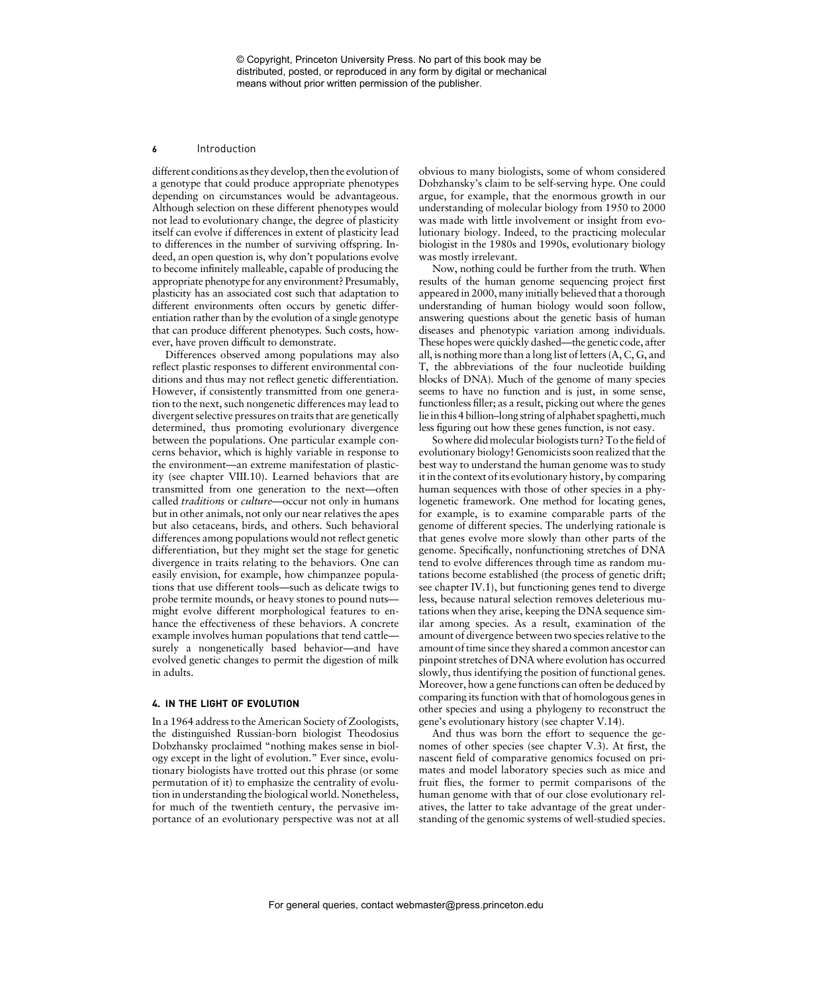#### <sup>6</sup> Introduction

different conditions as they develop, then the evolution of a genotype that could produce appropriate phenotypes depending on circumstances would be advantageous. Although selection on these different phenotypes would not lead to evolutionary change, the degree of plasticity itself can evolve if differences in extent of plasticity lead to differences in the number of surviving offspring. Indeed, an open question is, why don't populations evolve to become infinitely malleable, capable of producing the appropriate phenotype for any environment? Presumably, plasticity has an associated cost such that adaptation to different environments often occurs by genetic differentiation rather than by the evolution of a single genotype that can produce different phenotypes. Such costs, however, have proven difficult to demonstrate.

Differences observed among populations may also reflect plastic responses to different environmental conditions and thus may not reflect genetic differentiation. However, if consistently transmitted from one generation to the next, such nongenetic differences may lead to divergent selective pressures on traits that are genetically determined, thus promoting evolutionary divergence between the populations. One particular example concerns behavior, which is highly variable in response to the environment—an extreme manifestation of plasticity (see chapter VIII.10). Learned behaviors that are transmitted from one generation to the next—often called *traditions* or *culture*—occur not only in humans but in other animals, not only our near relatives the apes but also cetaceans, birds, and others. Such behavioral differences among populations would not reflect genetic differentiation, but they might set the stage for genetic divergence in traits relating to the behaviors. One can easily envision, for example, how chimpanzee populations that use different tools—such as delicate twigs to probe termite mounds, or heavy stones to pound nuts might evolve different morphological features to enhance the effectiveness of these behaviors. A concrete example involves human populations that tend cattle surely a nongenetically based behavior—and have evolved genetic changes to permit the digestion of milk in adults.

#### 4. IN THE LIGHT OF EVOLUTION

In a 1964 address to the American Society of Zoologists, the distinguished Russian-born biologist Theodosius Dobzhansky proclaimed "nothing makes sense in biology except in the light of evolution." Ever since, evolutionary biologists have trotted out this phrase (or some permutation of it) to emphasize the centrality of evolution in understanding the biological world. Nonetheless, for much of the twentieth century, the pervasive importance of an evolutionary perspective was not at all obvious to many biologists, some of whom considered Dobzhansky's claim to be self-serving hype. One could argue, for example, that the enormous growth in our understanding of molecular biology from 1950 to 2000 was made with little involvement or insight from evolutionary biology. Indeed, to the practicing molecular biologist in the 1980s and 1990s, evolutionary biology was mostly irrelevant.

Now, nothing could be further from the truth. When results of the human genome sequencing project first appeared in 2000, many initially believed that a thorough understanding of human biology would soon follow, answering questions about the genetic basis of human diseases and phenotypic variation among individuals. These hopes were quickly dashed—the genetic code, after all, is nothing more than a long list of letters (A, C, G, and T, the abbreviations of the four nucleotide building blocks of DNA). Much of the genome of many species seems to have no function and is just, in some sense, functionless filler; as a result, picking out where the genes lie in this 4 billion–long string of alphabet spaghetti, much less figuring out how these genes function, is not easy.

So where did molecular biologists turn? To the field of evolutionary biology! Genomicists soon realized that the best way to understand the human genome was to study it in the context of its evolutionary history, by comparing human sequences with those of other species in a phylogenetic framework. One method for locating genes, for example, is to examine comparable parts of the genome of different species. The underlying rationale is that genes evolve more slowly than other parts of the genome. Specifically, nonfunctioning stretches of DNA tend to evolve differences through time as random mutations become established (the process of genetic drift; see chapter IV.1), but functioning genes tend to diverge less, because natural selection removes deleterious mutations when they arise, keeping the DNA sequence similar among species. As a result, examination of the amount of divergence between two species relative to the amount of time since they shared a common ancestor can pinpoint stretches of DNA where evolution has occurred slowly, thus identifying the position of functional genes. Moreover, how a gene functions can often be deduced by comparing its function with that of homologous genes in other species and using a phylogeny to reconstruct the gene's evolutionary history (see chapter V.14).

And thus was born the effort to sequence the genomes of other species (see chapter V.3). At first, the nascent field of comparative genomics focused on primates and model laboratory species such as mice and fruit flies, the former to permit comparisons of the human genome with that of our close evolutionary relatives, the latter to take advantage of the great understanding of the genomic systems of well-studied species.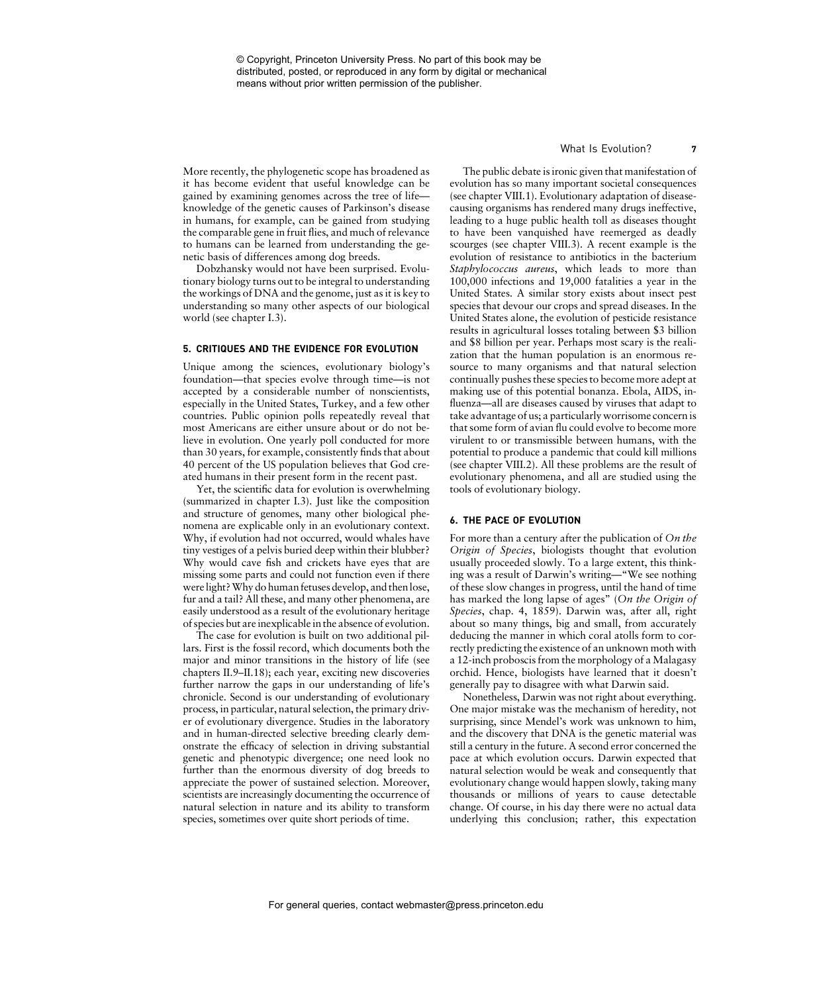More recently, the phylogenetic scope has broadened as it has become evident that useful knowledge can be gained by examining genomes across the tree of life knowledge of the genetic causes of Parkinson's disease in humans, for example, can be gained from studying the comparable gene in fruit flies, and much of relevance to humans can be learned from understanding the genetic basis of differences among dog breeds.

Dobzhansky would not have been surprised. Evolutionary biology turns out to be integral to understanding the workings of DNA and the genome, just as it is key to understanding so many other aspects of our biological world (see chapter I.3).

#### 5. CRITIQUES AND THE EVIDENCE FOR EVOLUTION

Unique among the sciences, evolutionary biology's foundation—that species evolve through time—is not accepted by a considerable number of nonscientists, especially in the United States, Turkey, and a few other countries. Public opinion polls repeatedly reveal that most Americans are either unsure about or do not believe in evolution. One yearly poll conducted for more than 30 years, for example, consistently finds that about 40 percent of the US population believes that God created humans in their present form in the recent past.

Yet, the scientific data for evolution is overwhelming (summarized in chapter I.3). Just like the composition and structure of genomes, many other biological phenomena are explicable only in an evolutionary context. Why, if evolution had not occurred, would whales have tiny vestiges of a pelvis buried deep within their blubber? Why would cave fish and crickets have eyes that are missing some parts and could not function even if there were light? Why do human fetuses develop, and then lose, fur and a tail? All these, and many other phenomena, are easily understood as a result of the evolutionary heritage of species but are inexplicablein the absence of evolution.

The case for evolution is built on two additional pillars. First is the fossil record, which documents both the major and minor transitions in the history of life (see chapters II.9–II.18); each year, exciting new discoveries further narrow the gaps in our understanding of life's chronicle. Second is our understanding of evolutionary process, in particular, natural selection, the primary driver of evolutionary divergence. Studies in the laboratory and in human-directed selective breeding clearly demonstrate the efficacy of selection in driving substantial genetic and phenotypic divergence; one need look no further than the enormous diversity of dog breeds to appreciate the power of sustained selection. Moreover, scientists are increasingly documenting the occurrence of natural selection in nature and its ability to transform species, sometimes over quite short periods of time.

#### What Is Evolution? 7

The public debate is ironic given that manifestation of evolution has so many important societal consequences (see chapter VIII.1). Evolutionary adaptation of diseasecausing organisms has rendered many drugs ineffective, leading to a huge public health toll as diseases thought to have been vanquished have reemerged as deadly scourges (see chapter VIII.3). A recent example is the evolution of resistance to antibiotics in the bacterium Staphylococcus aureus, which leads to more than 100,000 infections and 19,000 fatalities a year in the United States. A similar story exists about insect pest species that devour our crops and spread diseases. In the United States alone, the evolution of pesticide resistance results in agricultural losses totaling between \$3 billion and \$8 billion per year. Perhaps most scary is the realization that the human population is an enormous resource to many organisms and that natural selection continually pushes these species to become more adept at making use of this potential bonanza. Ebola, AIDS, influenza—all are diseases caused by viruses that adapt to take advantage of us; a particularly worrisome concern is that some form of avian flu could evolve to become more virulent to or transmissible between humans, with the potential to produce a pandemic that could kill millions (see chapter VIII.2). All these problems are the result of evolutionary phenomena, and all are studied using the tools of evolutionary biology.

# 6. THE PACE OF EVOLUTION

For more than a century after the publication of  $On$  the Origin of Species, biologists thought that evolution usually proceeded slowly. To a large extent, this thinking was a result of Darwin's writing—"We see nothing of these slow changes in progress, until the hand of time has marked the long lapse of ages" (On the Origin of Species, chap. 4, 1859). Darwin was, after all, right about so many things, big and small, from accurately deducing the manner in which coral atolls form to correctly predicting the existence of an unknown moth with a 12-inch proboscis from the morphology of a Malagasy orchid. Hence, biologists have learned that it doesn't generally pay to disagree with what Darwin said.

Nonetheless, Darwin was not right about everything. One major mistake was the mechanism of heredity, not surprising, since Mendel's work was unknown to him, and the discovery that DNA is the genetic material was still a century in the future. A second error concerned the pace at which evolution occurs. Darwin expected that natural selection would be weak and consequently that evolutionary change would happen slowly, taking many thousands or millions of years to cause detectable change. Of course, in his day there were no actual data underlying this conclusion; rather, this expectation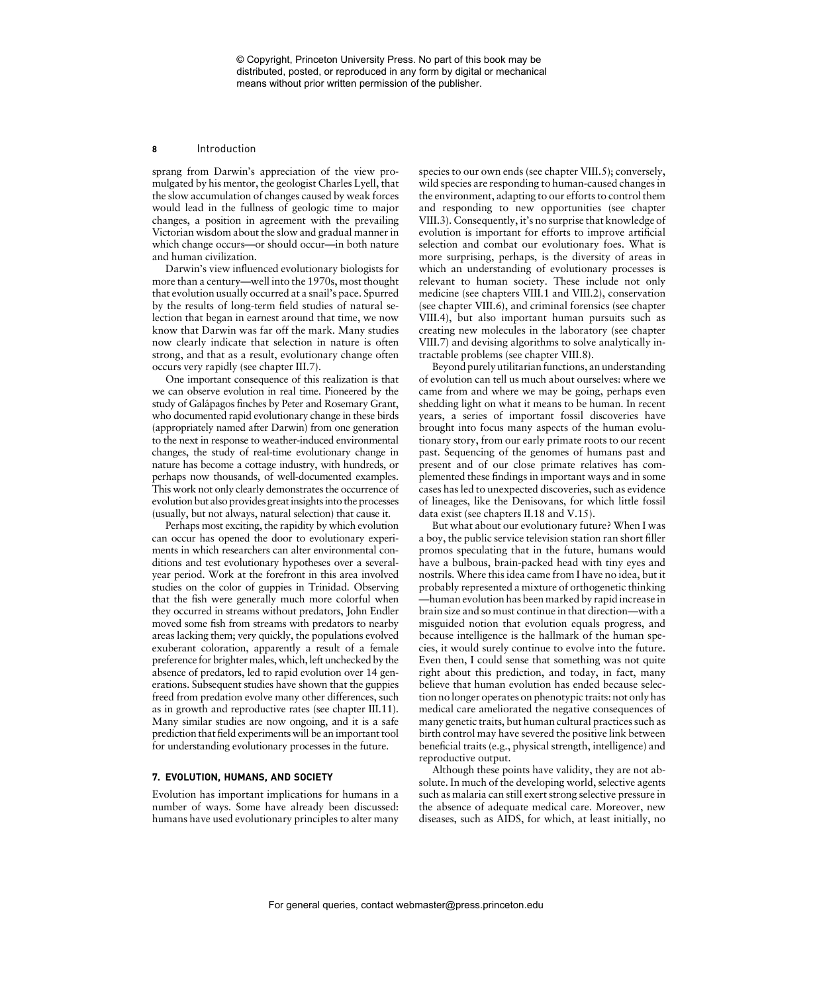#### <sup>8</sup> Introduction

sprang from Darwin's appreciation of the view promulgated by his mentor, the geologist Charles Lyell, that the slow accumulation of changes caused by weak forces would lead in the fullness of geologic time to major changes, a position in agreement with the prevailing Victorian wisdom about the slow and gradual manner in which change occurs—or should occur—in both nature and human civilization.

Darwin's view influenced evolutionary biologists for more than a century—well into the 1970s, most thought that evolution usually occurred at a snail's pace. Spurred by the results of long-term field studies of natural selection that began in earnest around that time, we now know that Darwin was far off the mark. Many studies now clearly indicate that selection in nature is often strong, and that as a result, evolutionary change often occurs very rapidly (see chapter III.7).

One important consequence of this realization is that we can observe evolution in real time. Pioneered by the study of Galápagos finches by Peter and Rosemary Grant, who documented rapid evolutionary change in these birds (appropriately named after Darwin) from one generation to the next in response to weather-induced environmental changes, the study of real-time evolutionary change in nature has become a cottage industry, with hundreds, or perhaps now thousands, of well-documented examples. This work not only clearly demonstrates the occurrence of evolution but also provides greatinsights into the processes (usually, but not always, natural selection) that cause it.

Perhaps most exciting, the rapidity by which evolution can occur has opened the door to evolutionary experiments in which researchers can alter environmental conditions and test evolutionary hypotheses over a severalyear period. Work at the forefront in this area involved studies on the color of guppies in Trinidad. Observing that the fish were generally much more colorful when they occurred in streams without predators, John Endler moved some fish from streams with predators to nearby areas lacking them; very quickly, the populations evolved exuberant coloration, apparently a result of a female preference for brighter males, which, left unchecked by the absence of predators, led to rapid evolution over 14 generations. Subsequent studies have shown that the guppies freed from predation evolve many other differences, such as in growth and reproductive rates (see chapter III.11). Many similar studies are now ongoing, and it is a safe prediction that field experiments will be an important tool for understanding evolutionary processes in the future.

#### 7. EVOLUTION, HUMANS, AND SOCIETY

Evolution has important implications for humans in a number of ways. Some have already been discussed: humans have used evolutionary principles to alter many

species to our own ends (see chapter VIII.5); conversely, wild species are responding to human-caused changes in the environment, adapting to our efforts to control them and responding to new opportunities (see chapter VIII.3). Consequently, it's no surprise that knowledge of evolution is important for efforts to improve artificial selection and combat our evolutionary foes. What is more surprising, perhaps, is the diversity of areas in which an understanding of evolutionary processes is relevant to human society. These include not only medicine (see chapters VIII.1 and VIII.2), conservation (see chapter VIII.6), and criminal forensics (see chapter VIII.4), but also important human pursuits such as creating new molecules in the laboratory (see chapter VIII.7) and devising algorithms to solve analytically intractable problems (see chapter VIII.8).

Beyond purely utilitarian functions, an understanding of evolution can tell us much about ourselves: where we came from and where we may be going, perhaps even shedding light on what it means to be human. In recent years, a series of important fossil discoveries have brought into focus many aspects of the human evolutionary story, from our early primate roots to our recent past. Sequencing of the genomes of humans past and present and of our close primate relatives has complemented these findings in important ways and in some cases has led to unexpected discoveries, such as evidence of lineages, like the Denisovans, for which little fossil data exist (see chapters II.18 and V.15).

But what about our evolutionary future? When I was a boy, the public service television station ran short filler promos speculating that in the future, humans would have a bulbous, brain-packed head with tiny eyes and nostrils. Where this idea came from I have no idea, but it probably represented a mixture of orthogenetic thinking —human evolution has been marked by rapid increase in brain size and so must continue in that direction—with a misguided notion that evolution equals progress, and because intelligence is the hallmark of the human species, it would surely continue to evolve into the future. Even then, I could sense that something was not quite right about this prediction, and today, in fact, many believe that human evolution has ended because selection no longer operates on phenotypic traits: not only has medical care ameliorated the negative consequences of many genetic traits, but human cultural practices such as birth control may have severed the positive link between beneficial traits (e.g., physical strength, intelligence) and reproductive output.

Although these points have validity, they are not absolute. In much of the developing world, selective agents such as malaria can still exert strong selective pressure in the absence of adequate medical care. Moreover, new diseases, such as AIDS, for which, at least initially, no